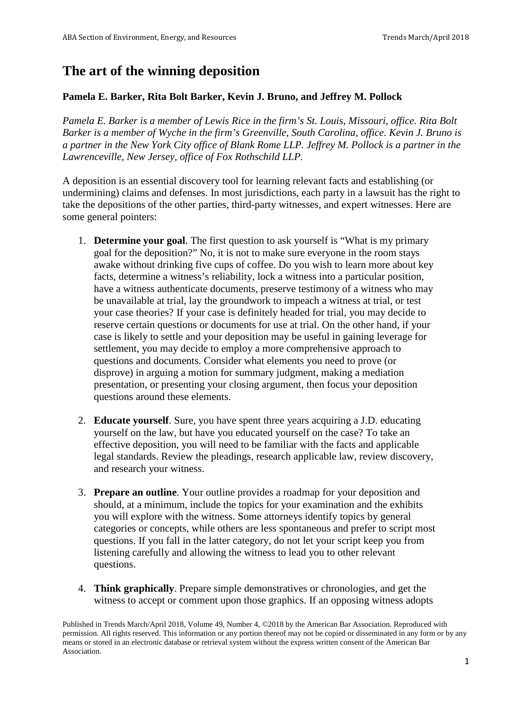## **The art of the winning deposition**

## **Pamela E. Barker, Rita Bolt Barker, Kevin J. Bruno, and Jeffrey M. Pollock**

*Pamela E. Barker is a member of Lewis Rice in the firm's St. Louis, Missouri, office. Rita Bolt Barker is a member of Wyche in the firm's Greenville, South Carolina, office. Kevin J. Bruno is a partner in the New York City office of Blank Rome LLP. Jeffrey M. Pollock is a partner in the Lawrenceville, New Jersey, office of Fox Rothschild LLP.*

A deposition is an essential discovery tool for learning relevant facts and establishing (or undermining) claims and defenses. In most jurisdictions, each party in a lawsuit has the right to take the depositions of the other parties, third-party witnesses, and expert witnesses. Here are some general pointers:

- 1. **Determine your goal**. The first question to ask yourself is "What is my primary goal for the deposition?" No, it is not to make sure everyone in the room stays awake without drinking five cups of coffee. Do you wish to learn more about key facts, determine a witness's reliability, lock a witness into a particular position, have a witness authenticate documents, preserve testimony of a witness who may be unavailable at trial, lay the groundwork to impeach a witness at trial, or test your case theories? If your case is definitely headed for trial, you may decide to reserve certain questions or documents for use at trial. On the other hand, if your case is likely to settle and your deposition may be useful in gaining leverage for settlement, you may decide to employ a more comprehensive approach to questions and documents. Consider what elements you need to prove (or disprove) in arguing a motion for summary judgment, making a mediation presentation, or presenting your closing argument, then focus your deposition questions around these elements.
- 2. **Educate yourself**. Sure, you have spent three years acquiring a J.D. educating yourself on the law, but have you educated yourself on the case? To take an effective deposition, you will need to be familiar with the facts and applicable legal standards. Review the pleadings, research applicable law, review discovery, and research your witness.
- 3. **Prepare an outline**. Your outline provides a roadmap for your deposition and should, at a minimum, include the topics for your examination and the exhibits you will explore with the witness. Some attorneys identify topics by general categories or concepts, while others are less spontaneous and prefer to script most questions. If you fall in the latter category, do not let your script keep you from listening carefully and allowing the witness to lead you to other relevant questions.
- 4. **Think graphically**. Prepare simple demonstratives or chronologies, and get the witness to accept or comment upon those graphics. If an opposing witness adopts

Published in Trends March/April 2018, Volume 49, Number 4, ©2018 by the American Bar Association. Reproduced with permission. All rights reserved. This information or any portion thereof may not be copied or disseminated in any form or by any means or stored in an electronic database or retrieval system without the express written consent of the American Bar Association.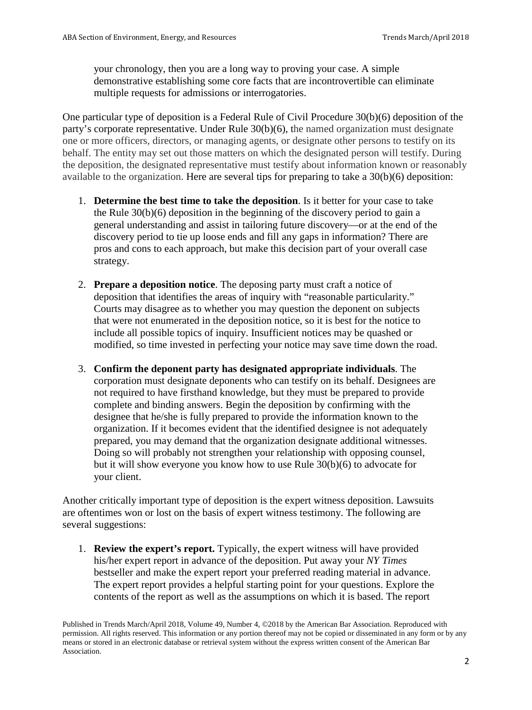your chronology, then you are a long way to proving your case. A simple demonstrative establishing some core facts that are incontrovertible can eliminate multiple requests for admissions or interrogatories.

One particular type of deposition is a Federal Rule of Civil Procedure 30(b)(6) deposition of the party's corporate representative. Under Rule 30(b)(6), the named organization must designate one or more officers, directors, or managing agents, or designate other persons to testify on its behalf. The entity may set out those matters on which the designated person will testify. During the deposition, the designated representative must testify about information known or reasonably available to the organization. Here are several tips for preparing to take a 30(b)(6) deposition:

- 1. **Determine the best time to take the deposition**. Is it better for your case to take the Rule 30(b)(6) deposition in the beginning of the discovery period to gain a general understanding and assist in tailoring future discovery—or at the end of the discovery period to tie up loose ends and fill any gaps in information? There are pros and cons to each approach, but make this decision part of your overall case strategy.
- 2. **Prepare a deposition notice**. The deposing party must craft a notice of deposition that identifies the areas of inquiry with "reasonable particularity." Courts may disagree as to whether you may question the deponent on subjects that were not enumerated in the deposition notice, so it is best for the notice to include all possible topics of inquiry. Insufficient notices may be quashed or modified, so time invested in perfecting your notice may save time down the road.
- 3. **Confirm the deponent party has designated appropriate individuals**. The corporation must designate deponents who can testify on its behalf. Designees are not required to have firsthand knowledge, but they must be prepared to provide complete and binding answers. Begin the deposition by confirming with the designee that he/she is fully prepared to provide the information known to the organization. If it becomes evident that the identified designee is not adequately prepared, you may demand that the organization designate additional witnesses. Doing so will probably not strengthen your relationship with opposing counsel, but it will show everyone you know how to use Rule 30(b)(6) to advocate for your client.

Another critically important type of deposition is the expert witness deposition. Lawsuits are oftentimes won or lost on the basis of expert witness testimony. The following are several suggestions:

1. **Review the expert's report.** Typically, the expert witness will have provided his/her expert report in advance of the deposition. Put away your *NY Times* bestseller and make the expert report your preferred reading material in advance. The expert report provides a helpful starting point for your questions. Explore the contents of the report as well as the assumptions on which it is based. The report

Published in Trends March/April 2018, Volume 49, Number 4, ©2018 by the American Bar Association. Reproduced with permission. All rights reserved. This information or any portion thereof may not be copied or disseminated in any form or by any means or stored in an electronic database or retrieval system without the express written consent of the American Bar Association.